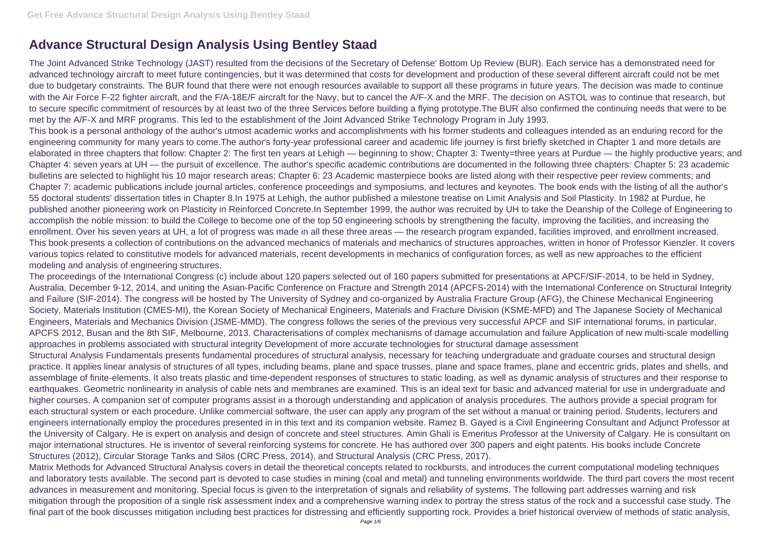## **Advance Structural Design Analysis Using Bentley Staad**

The Joint Advanced Strike Technology (JAST) resulted from the decisions of the Secretary of Defense' Bottom Up Review (BUR). Each service has a demonstrated need for advanced technology aircraft to meet future contingencies, but it was determined that costs for development and production of these several different aircraft could not be met due to budgetary constraints. The BUR found that there were not enough resources available to support all these programs in future years. The decision was made to continue with the Air Force F-22 fighter aircraft, and the F/A-18E/F aircraft for the Navy, but to cancel the A/F-X and the MRF. The decision on ASTOL was to continue that research, but to secure specific commitment of resources by at least two of the three Services before building a flying prototype.The BUR also confirmed the continuing needs that were to be met by the A/F-X and MRF programs. This led to the establishment of the Joint Advanced Strike Technology Program in July 1993. This book is a personal anthology of the author's utmost academic works and accomplishments with his former students and colleagues intended as an enduring record for the engineering community for many years to come.The author's forty-year professional career and academic life journey is first briefly sketched in Chapter 1 and more details are elaborated in three chapters that follow: Chapter 2: The first ten years at Lehigh — beginning to show; Chapter 3: Twenty=three years at Purdue — the highly productive years; and Chapter 4: seven years at UH — the pursuit of excellence. The author's specific academic contributions are documented in the following three chapters: Chapter 5: 23 academic bulletins are selected to highlight his 10 major research areas; Chapter 6: 23 Academic masterpiece books are listed along with their respective peer review comments; and Chapter 7: academic publications include journal articles, conference proceedings and symposiums, and lectures and keynotes. The book ends with the listing of all the author's 55 doctoral students' dissertation titles in Chapter 8.In 1975 at Lehigh, the author published a milestone treatise on Limit Analysis and Soil Plasticity. In 1982 at Purdue, he published another pioneering work on Plasticity in Reinforced Concrete.In September 1999, the author was recruited by UH to take the Deanship of the College of Engineering to accomplish the noble mission: to build the College to become one of the top 50 engineering schools by strengthening the faculty, improving the facilities, and increasing the enrollment. Over his seven years at UH, a lot of progress was made in all these three areas — the research program expanded, facilities improved, and enrollment increased. This book presents a collection of contributions on the advanced mechanics of materials and mechanics of structures approaches, written in honor of Professor Kienzler. It covers various topics related to constitutive models for advanced materials, recent developments in mechanics of configuration forces, as well as new approaches to the efficient modeling and analysis of engineering structures.

The proceedings of the International Congress (c) include about 120 papers selected out of 160 papers submitted for presentations at APCF/SIF-2014, to be held in Sydney, Australia, December 9-12, 2014, and uniting the Asian-Pacific Conference on Fracture and Strength 2014 (APCFS-2014) with the International Conference on Structural Integrity and Failure (SIF-2014). The congress will be hosted by The University of Sydney and co-organized by Australia Fracture Group (AFG), the Chinese Mechanical Engineering Society, Materials Institution (CMES-MI), the Korean Society of Mechanical Engineers, Materials and Fracture Division (KSME-MFD) and The Japanese Society of Mechanical Engineers, Materials and Mechanics Division (JSME-MMD). The congress follows the series of the previous very successful APCF and SIF international forums, in particular, APCFS 2012, Busan and the 8th SIF, Melbourne, 2013. Characterisations of complex mechanisms of damage accumulation and failure Application of new multi-scale modelling approaches in problems associated with structural integrity Development of more accurate technologies for structural damage assessment Structural Analysis Fundamentals presents fundamental procedures of structural analysis, necessary for teaching undergraduate and graduate courses and structural design practice. It applies linear analysis of structures of all types, including beams, plane and space trusses, plane and space frames, plane and eccentric grids, plates and shells, and assemblage of finite-elements. It also treats plastic and time-dependent responses of structures to static loading, as well as dynamic analysis of structures and their response to earthquakes. Geometric nonlinearity in analysis of cable nets and membranes are examined. This is an ideal text for basic and advanced material for use in undergraduate and higher courses. A companion set of computer programs assist in a thorough understanding and application of analysis procedures. The authors provide a special program for each structural system or each procedure. Unlike commercial software, the user can apply any program of the set without a manual or training period. Students, lecturers and engineers internationally employ the procedures presented in in this text and its companion website. Ramez B. Gayed is a Civil Engineering Consultant and Adjunct Professor at the University of Calgary. He is expert on analysis and design of concrete and steel structures. Amin Ghali is Emeritus Professor at the University of Calgary. He is consultant on major international structures. He is inventor of several reinforcing systems for concrete. He has authored over 300 papers and eight patents. His books include Concrete Structures (2012), Circular Storage Tanks and Silos (CRC Press, 2014), and Structural Analysis (CRC Press, 2017).

Matrix Methods for Advanced Structural Analysis covers in detail the theoretical concepts related to rockbursts, and introduces the current computational modeling techniques and laboratory tests available. The second part is devoted to case studies in mining (coal and metal) and tunneling environments worldwide. The third part covers the most recent advances in measurement and monitoring. Special focus is given to the interpretation of signals and reliability of systems. The following part addresses warning and risk mitigation through the proposition of a single risk assessment index and a comprehensive warning index to portray the stress status of the rock and a successful case study. The final part of the book discusses mitigation including best practices for distressing and efficiently supporting rock. Provides a brief historical overview of methods of static analysis,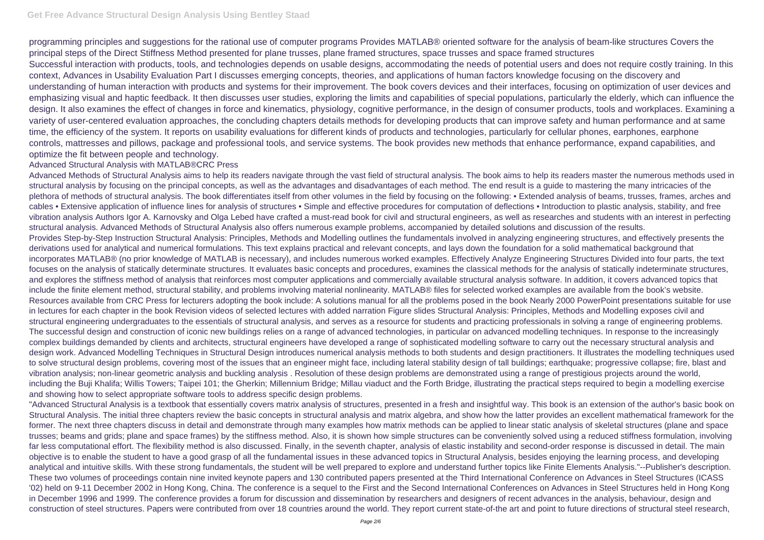programming principles and suggestions for the rational use of computer programs Provides MATLAB® oriented software for the analysis of beam-like structures Covers the principal steps of the Direct Stiffness Method presented for plane trusses, plane framed structures, space trusses and space framed structures Successful interaction with products, tools, and technologies depends on usable designs, accommodating the needs of potential users and does not require costly training. In this context, Advances in Usability Evaluation Part I discusses emerging concepts, theories, and applications of human factors knowledge focusing on the discovery and understanding of human interaction with products and systems for their improvement. The book covers devices and their interfaces, focusing on optimization of user devices and emphasizing visual and haptic feedback. It then discusses user studies, exploring the limits and capabilities of special populations, particularly the elderly, which can influence the design. It also examines the effect of changes in force and kinematics, physiology, cognitive performance, in the design of consumer products, tools and workplaces. Examining a variety of user-centered evaluation approaches, the concluding chapters details methods for developing products that can improve safety and human performance and at same time, the efficiency of the system. It reports on usability evaluations for different kinds of products and technologies, particularly for cellular phones, earphones, earphone controls, mattresses and pillows, package and professional tools, and service systems. The book provides new methods that enhance performance, expand capabilities, and optimize the fit between people and technology.

## Advanced Structural Analysis with MATLAB®CRC Press

Advanced Methods of Structural Analysis aims to help its readers navigate through the vast field of structural analysis. The book aims to help its readers master the numerous methods used in structural analysis by focusing on the principal concepts, as well as the advantages and disadvantages of each method. The end result is a guide to mastering the many intricacies of the plethora of methods of structural analysis. The book differentiates itself from other volumes in the field by focusing on the following: • Extended analysis of beams, trusses, frames, arches and cables • Extensive application of influence lines for analysis of structures • Simple and effective procedures for computation of deflections • Introduction to plastic analysis, stability, and free vibration analysis Authors Igor A. Karnovsky and Olga Lebed have crafted a must-read book for civil and structural engineers, as well as researches and students with an interest in perfecting structural analysis. Advanced Methods of Structural Analysis also offers numerous example problems, accompanied by detailed solutions and discussion of the results. Provides Step-by-Step Instruction Structural Analysis: Principles, Methods and Modelling outlines the fundamentals involved in analyzing engineering structures, and effectively presents the derivations used for analytical and numerical formulations. This text explains practical and relevant concepts, and lays down the foundation for a solid mathematical background that incorporates MATLAB® (no prior knowledge of MATLAB is necessary), and includes numerous worked examples. Effectively Analyze Engineering Structures Divided into four parts, the text focuses on the analysis of statically determinate structures. It evaluates basic concepts and procedures, examines the classical methods for the analysis of statically indeterminate structures, and explores the stiffness method of analysis that reinforces most computer applications and commercially available structural analysis software. In addition, it covers advanced topics that include the finite element method, structural stability, and problems involving material nonlinearity. MATLAB® files for selected worked examples are available from the book's website. Resources available from CRC Press for lecturers adopting the book include: A solutions manual for all the problems posed in the book Nearly 2000 PowerPoint presentations suitable for use in lectures for each chapter in the book Revision videos of selected lectures with added narration Figure slides Structural Analysis: Principles, Methods and Modelling exposes civil and structural engineering undergraduates to the essentials of structural analysis, and serves as a resource for students and practicing professionals in solving a range of engineering problems. The successful design and construction of iconic new buildings relies on a range of advanced technologies, in particular on advanced modelling techniques. In response to the increasingly complex buildings demanded by clients and architects, structural engineers have developed a range of sophisticated modelling software to carry out the necessary structural analysis and design work. Advanced Modelling Techniques in Structural Design introduces numerical analysis methods to both students and design practitioners. It illustrates the modelling techniques used to solve structural design problems, covering most of the issues that an engineer might face, including lateral stability design of tall buildings; earthquake; progressive collapse; fire, blast and vibration analysis; non-linear geometric analysis and buckling analysis . Resolution of these design problems are demonstrated using a range of prestigious projects around the world, including the Buji Khalifa; Willis Towers; Taipei 101; the Gherkin; Millennium Bridge; Millau viaduct and the Forth Bridge, illustrating the practical steps required to begin a modelling exercise and showing how to select appropriate software tools to address specific design problems.

"Advanced Structural Analysis is a textbook that essentially covers matrix analysis of structures, presented in a fresh and insightful way. This book is an extension of the author's basic book on Structural Analysis. The initial three chapters review the basic concepts in structural analysis and matrix algebra, and show how the latter provides an excellent mathematical framework for the former. The next three chapters discuss in detail and demonstrate through many examples how matrix methods can be applied to linear static analysis of skeletal structures (plane and space trusses; beams and grids; plane and space frames) by the stiffness method. Also, it is shown how simple structures can be conveniently solved using a reduced stiffness formulation, involving far less computational effort. The flexibility method is also discussed. Finally, in the seventh chapter, analysis of elastic instability and second-order response is discussed in detail. The main objective is to enable the student to have a good grasp of all the fundamental issues in these advanced topics in Structural Analysis, besides enjoying the learning process, and developing analytical and intuitive skills. With these strong fundamentals, the student will be well prepared to explore and understand further topics like Finite Elements Analysis."--Publisher's description. These two volumes of proceedings contain nine invited keynote papers and 130 contributed papers presented at the Third International Conference on Advances in Steel Structures (ICASS '02) held on 9-11 December 2002 in Hong Kong, China. The conference is a sequel to the First and the Second International Conferences on Advances in Steel Structures held in Hong Kong in December 1996 and 1999. The conference provides a forum for discussion and dissemination by researchers and designers of recent advances in the analysis, behaviour, design and construction of steel structures. Papers were contributed from over 18 countries around the world. They report current state-of-the art and point to future directions of structural steel research,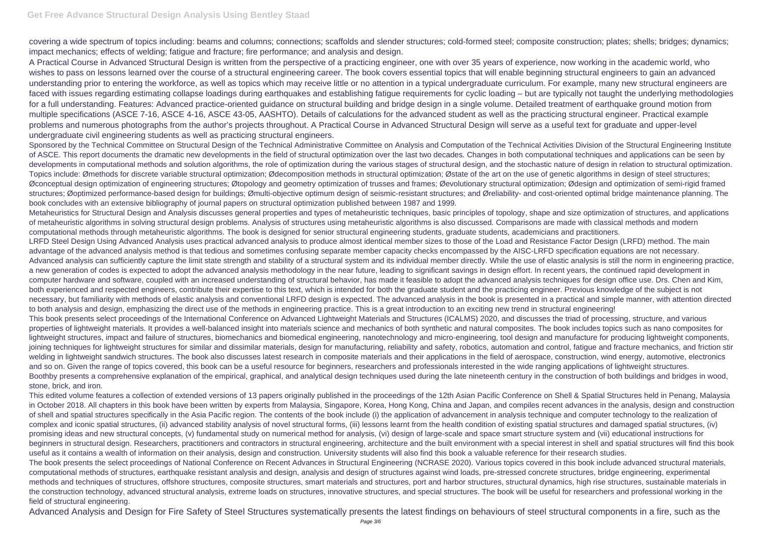covering a wide spectrum of topics including: beams and columns; connections; scaffolds and slender structures; cold-formed steel; composite construction; plates; shells; bridges; dynamics; impact mechanics; effects of welding; fatigue and fracture; fire performance; and analysis and design.

A Practical Course in Advanced Structural Design is written from the perspective of a practicing engineer, one with over 35 years of experience, now working in the academic world, who wishes to pass on lessons learned over the course of a structural engineering career. The book covers essential topics that will enable beginning structural engineers to gain an advanced understanding prior to entering the workforce, as well as topics which may receive little or no attention in a typical undergraduate curriculum. For example, many new structural engineers are faced with issues regarding estimating collapse loadings during earthquakes and establishing fatigue requirements for cyclic loading – but are typically not taught the underlying methodologies for a full understanding. Features: Advanced practice-oriented guidance on structural building and bridge design in a single volume. Detailed treatment of earthquake ground motion from multiple specifications (ASCE 7-16, ASCE 4-16, ASCE 43-05, AASHTO). Details of calculations for the advanced student as well as the practicing structural engineer. Practical example problems and numerous photographs from the author's projects throughout. A Practical Course in Advanced Structural Design will serve as a useful text for graduate and upper-level undergraduate civil engineering students as well as practicing structural engineers.

Sponsored by the Technical Committee on Structural Design of the Technical Administrative Committee on Analysis and Computation of the Technical Activities Division of the Structural Engineering Institute of ASCE. This report documents the dramatic new developments in the field of structural optimization over the last two decades. Changes in both computational techniques and applications can be seen by developments in computational methods and solution algorithms, the role of optimization during the various stages of structural design, and the stochastic nature of design in relation to structural optimization. Topics include: Ømethods for discrete variable structural optimization; Ødecomposition methods in structural optimization; Østate of the art on the use of genetic algorithms in design of steel structures; Øconceptual design optimization of engineering structures; Øtopology and geometry optimization of trusses and frames; Øevolutionary structural optimization; Ødesign and optimization of semi-rigid framed structures; Øoptimized performance-based design for buildings; Ømulti-objective optimum design of seismic-resistant structures; and Øreliability- and cost-oriented optimal bridge maintenance planning. The book concludes with an extensive bibliography of journal papers on structural optimization published between 1987 and 1999.

Metaheuristics for Structural Design and Analysis discusses general properties and types of metaheuristic techniques, basic principles of topology, shape and size optimization of structures, and applications of metaheuristic algorithms in solving structural design problems. Analysis of structures using metaheuristic algorithms is also discussed. Comparisons are made with classical methods and modern computational methods through metaheuristic algorithms. The book is designed for senior structural engineering students, graduate students, academicians and practitioners. LRFD Steel Design Using Advanced Analysis uses practical advanced analysis to produce almost identical member sizes to those of the Load and Resistance Factor Design (LRFD) method. The main advantage of the advanced analysis method is that tedious and sometimes confusing separate member capacity checks encompassed by the AISC-LRFD specification equations are not necessary. Advanced analysis can sufficiently capture the limit state strength and stability of a structural system and its individual member directly. While the use of elastic analysis is still the norm in engineering practice, a new generation of codes is expected to adopt the advanced analysis methodology in the near future, leading to significant savings in design effort. In recent years, the continued rapid development in computer hardware and software, coupled with an increased understanding of structural behavior, has made it feasible to adopt the advanced analysis techniques for design office use. Drs. Chen and Kim, both experienced and respected engineers, contribute their expertise to this text, which is intended for both the graduate student and the practicing engineer. Previous knowledge of the subject is not necessary, but familiarity with methods of elastic analysis and conventional LRFD design is expected. The advanced analysis in the book is presented in a practical and simple manner, with attention directed to both analysis and design, emphasizing the direct use of the methods in engineering practice. This is a great introduction to an exciting new trend in structural engineering! This book presents select proceedings of the International Conference on Advanced Lightweight Materials and Structures (ICALMS) 2020, and discusses the triad of processing, structure, and various properties of lightweight materials. It provides a well-balanced insight into materials science and mechanics of both synthetic and natural composites. The book includes topics such as nano composites for lightweight structures, impact and failure of structures, biomechanics and biomedical engineering, nanotechnology and micro-engineering, tool design and manufacture for producing lightweight components, joining techniques for lightweight structures for similar and dissimilar materials, design for manufacturing, reliability and safety, robotics, automation and control, fatigue and fracture mechanics, and friction stir welding in lightweight sandwich structures. The book also discusses latest research in composite materials and their applications in the field of aerospace, construction, wind energy, automotive, electronics and so on. Given the range of topics covered, this book can be a useful resource for beginners, researchers and professionals interested in the wide ranging applications of lightweight structures. Boothby presents a comprehensive explanation of the empirical, graphical, and analytical design techniques used during the late nineteenth century in the construction of both buildings and bridges in wood, stone, brick, and iron.

This edited volume features a collection of extended versions of 13 papers originally published in the proceedings of the 12th Asian Pacific Conference on Shell & Spatial Structures held in Penang, Malaysia in October 2018. All chapters in this book have been written by experts from Malaysia, Singapore, Korea, Hong Kong, China and Japan, and compiles recent advances in the analysis, design and construction of shell and spatial structures specifically in the Asia Pacific region. The contents of the book include (i) the application of advancement in analysis technique and computer technology to the realization of complex and iconic spatial structures, (ii) advanced stability analysis of novel structural forms, (iii) lessons learnt from the health condition of existing spatial structures and damaged spatial structures, (iv) promising ideas and new structural concepts, (v) fundamental study on numerical method for analysis, (vi) design of large-scale and space smart structure system and (vii) educational instructions for beginners in structural design. Researchers, practitioners and contractors in structural engineering, architecture and the built environment with a special interest in shell and spatial structures will find this book useful as it contains a wealth of information on their analysis, design and construction. University students will also find this book a valuable reference for their research studies. The book presents the select proceedings of National Conference on Recent Advances in Structural Engineering (NCRASE 2020). Various topics covered in this book include advanced structural materials, computational methods of structures, earthquake resistant analysis and design, analysis and design of structures against wind loads, pre-stressed concrete structures, bridge engineering, experimental methods and techniques of structures, offshore structures, composite structures, smart materials and structures, port and harbor structures, structural dynamics, high rise structures, sustainable materials in the construction technology, advanced structural analysis, extreme loads on structures, innovative structures, and special structures. The book will be useful for researchers and professional working in the field of structural engineering.

Advanced Analysis and Design for Fire Safety of Steel Structures systematically presents the latest findings on behaviours of steel structural components in a fire, such as the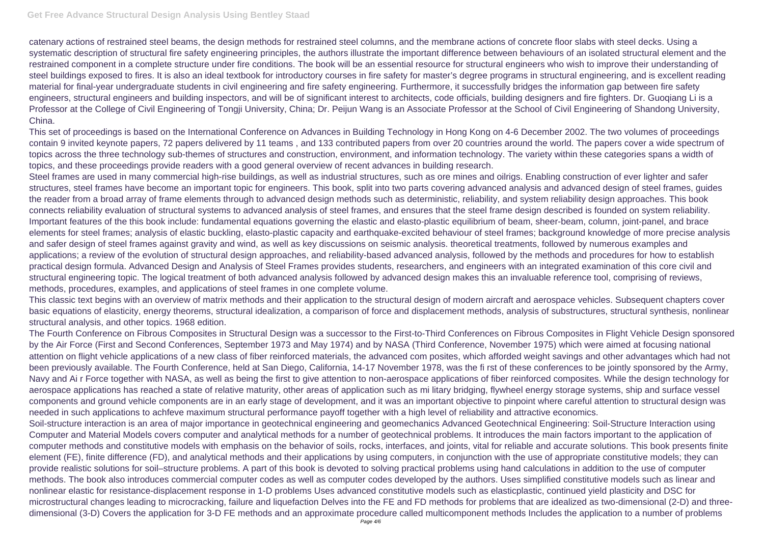catenary actions of restrained steel beams, the design methods for restrained steel columns, and the membrane actions of concrete floor slabs with steel decks. Using a systematic description of structural fire safety engineering principles, the authors illustrate the important difference between behaviours of an isolated structural element and the restrained component in a complete structure under fire conditions. The book will be an essential resource for structural engineers who wish to improve their understanding of steel buildings exposed to fires. It is also an ideal textbook for introductory courses in fire safety for master's degree programs in structural engineering, and is excellent reading material for final-year undergraduate students in civil engineering and fire safety engineering. Furthermore, it successfully bridges the information gap between fire safety engineers, structural engineers and building inspectors, and will be of significant interest to architects, code officials, building designers and fire fighters. Dr. Guoqiang Li is a Professor at the College of Civil Engineering of Tongji University, China; Dr. Peijun Wang is an Associate Professor at the School of Civil Engineering of Shandong University, China.

This set of proceedings is based on the International Conference on Advances in Building Technology in Hong Kong on 4-6 December 2002. The two volumes of proceedings contain 9 invited keynote papers, 72 papers delivered by 11 teams , and 133 contributed papers from over 20 countries around the world. The papers cover a wide spectrum of topics across the three technology sub-themes of structures and construction, environment, and information technology. The variety within these categories spans a width of topics, and these proceedings provide readers with a good general overview of recent advances in building research.

Steel frames are used in many commercial high-rise buildings, as well as industrial structures, such as ore mines and oilrigs. Enabling construction of ever lighter and safer structures, steel frames have become an important topic for engineers. This book, split into two parts covering advanced analysis and advanced design of steel frames, guides the reader from a broad array of frame elements through to advanced design methods such as deterministic, reliability, and system reliability design approaches. This book connects reliability evaluation of structural systems to advanced analysis of steel frames, and ensures that the steel frame design described is founded on system reliability. Important features of the this book include: fundamental equations governing the elastic and elasto-plastic equilibrium of beam, sheer-beam, column, joint-panel, and brace elements for steel frames; analysis of elastic buckling, elasto-plastic capacity and earthquake-excited behaviour of steel frames; background knowledge of more precise analysis and safer design of steel frames against gravity and wind, as well as key discussions on seismic analysis. theoretical treatments, followed by numerous examples and applications; a review of the evolution of structural design approaches, and reliability-based advanced analysis, followed by the methods and procedures for how to establish practical design formula. Advanced Design and Analysis of Steel Frames provides students, researchers, and engineers with an integrated examination of this core civil and structural engineering topic. The logical treatment of both advanced analysis followed by advanced design makes this an invaluable reference tool, comprising of reviews, methods, procedures, examples, and applications of steel frames in one complete volume.

This classic text begins with an overview of matrix methods and their application to the structural design of modern aircraft and aerospace vehicles. Subsequent chapters cover basic equations of elasticity, energy theorems, structural idealization, a comparison of force and displacement methods, analysis of substructures, structural synthesis, nonlinear structural analysis, and other topics. 1968 edition.

The Fourth Conference on Fibrous Composites in Structural Design was a successor to the First-to-Third Conferences on Fibrous Composites in Flight Vehicle Design sponsored by the Air Force (First and Second Conferences, September 1973 and May 1974) and by NASA (Third Conference, November 1975) which were aimed at focusing national attention on flight vehicle applications of a new class of fiber reinforced materials, the advanced com posites, which afforded weight savings and other advantages which had not been previously available. The Fourth Conference, held at San Diego, California, 14-17 November 1978, was the fi rst of these conferences to be jointly sponsored by the Army, Navy and Ai r Force together with NASA, as well as being the first to give attention to non-aerospace applications of fiber reinforced composites. While the design technology for aerospace applications has reached a state of relative maturity, other areas of application such as mi litary bridging, flywheel energy storage systems, ship and surface vessel components and ground vehicle components are in an early stage of development, and it was an important objective to pinpoint where careful attention to structural design was needed in such applications to achfeve maximum structural performance payoff together with a high level of reliability and attractive economics. Soil-structure interaction is an area of major importance in geotechnical engineering and geomechanics Advanced Geotechnical Engineering: Soil-Structure Interaction using Computer and Material Models covers computer and analytical methods for a number of geotechnical problems. It introduces the main factors important to the application of computer methods and constitutive models with emphasis on the behavior of soils, rocks, interfaces, and joints, vital for reliable and accurate solutions. This book presents finite element (FE), finite difference (FD), and analytical methods and their applications by using computers, in conjunction with the use of appropriate constitutive models; they can provide realistic solutions for soil–structure problems. A part of this book is devoted to solving practical problems using hand calculations in addition to the use of computer methods. The book also introduces commercial computer codes as well as computer codes developed by the authors. Uses simplified constitutive models such as linear and nonlinear elastic for resistance-displacement response in 1-D problems Uses advanced constitutive models such as elasticplastic, continued yield plasticity and DSC for microstructural changes leading to microcracking, failure and liquefaction Delves into the FE and FD methods for problems that are idealized as two-dimensional (2-D) and threedimensional (3-D) Covers the application for 3-D FE methods and an approximate procedure called multicomponent methods Includes the application to a number of problems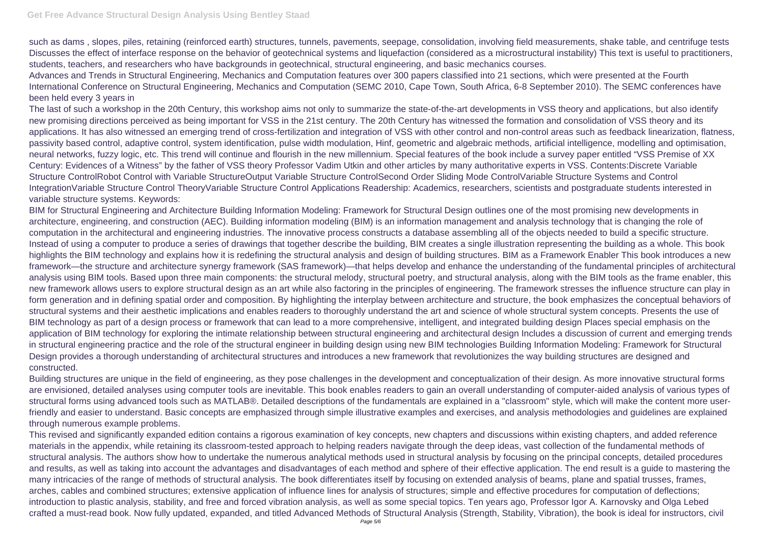such as dams , slopes, piles, retaining (reinforced earth) structures, tunnels, pavements, seepage, consolidation, involving field measurements, shake table, and centrifuge tests Discusses the effect of interface response on the behavior of geotechnical systems and liquefaction (considered as a microstructural instability) This text is useful to practitioners, students, teachers, and researchers who have backgrounds in geotechnical, structural engineering, and basic mechanics courses.

Advances and Trends in Structural Engineering, Mechanics and Computation features over 300 papers classified into 21 sections, which were presented at the Fourth International Conference on Structural Engineering, Mechanics and Computation (SEMC 2010, Cape Town, South Africa, 6-8 September 2010). The SEMC conferences have been held every 3 years in

The last of such a workshop in the 20th Century, this workshop aims not only to summarize the state-of-the-art developments in VSS theory and applications, but also identify new promising directions perceived as being important for VSS in the 21st century. The 20th Century has witnessed the formation and consolidation of VSS theory and its applications. It has also witnessed an emerging trend of cross-fertilization and integration of VSS with other control and non-control areas such as feedback linearization, flatness, passivity based control, adaptive control, system identification, pulse width modulation, Hinf, geometric and algebraic methods, artificial intelligence, modelling and optimisation, neural networks, fuzzy logic, etc. This trend will continue and flourish in the new millennium. Special features of the book include a survey paper entitled "VSS Premise of XX Century: Evidences of a Witness" by the father of VSS theory Professor Vadim Utkin and other articles by many authoritative experts in VSS. Contents:Discrete Variable Structure ControlRobot Control with Variable StructureOutput Variable Structure ControlSecond Order Sliding Mode ControlVariable Structure Systems and Control IntegrationVariable Structure Control TheoryVariable Structure Control Applications Readership: Academics, researchers, scientists and postgraduate students interested in variable structure systems. Keywords:

BIM for Structural Engineering and Architecture Building Information Modeling: Framework for Structural Design outlines one of the most promising new developments in architecture, engineering, and construction (AEC). Building information modeling (BIM) is an information management and analysis technology that is changing the role of computation in the architectural and engineering industries. The innovative process constructs a database assembling all of the objects needed to build a specific structure. Instead of using a computer to produce a series of drawings that together describe the building, BIM creates a single illustration representing the building as a whole. This book highlights the BIM technology and explains how it is redefining the structural analysis and design of building structures. BIM as a Framework Enabler This book introduces a new framework—the structure and architecture synergy framework (SAS framework)—that helps develop and enhance the understanding of the fundamental principles of architectural analysis using BIM tools. Based upon three main components: the structural melody, structural poetry, and structural analysis, along with the BIM tools as the frame enabler, this new framework allows users to explore structural design as an art while also factoring in the principles of engineering. The framework stresses the influence structure can play in form generation and in defining spatial order and composition. By highlighting the interplay between architecture and structure, the book emphasizes the conceptual behaviors of structural systems and their aesthetic implications and enables readers to thoroughly understand the art and science of whole structural system concepts. Presents the use of BIM technology as part of a design process or framework that can lead to a more comprehensive, intelligent, and integrated building design Places special emphasis on the application of BIM technology for exploring the intimate relationship between structural engineering and architectural design Includes a discussion of current and emerging trends in structural engineering practice and the role of the structural engineer in building design using new BIM technologies Building Information Modeling: Framework for Structural Design provides a thorough understanding of architectural structures and introduces a new framework that revolutionizes the way building structures are designed and constructed.

Building structures are unique in the field of engineering, as they pose challenges in the development and conceptualization of their design. As more innovative structural forms are envisioned, detailed analyses using computer tools are inevitable. This book enables readers to gain an overall understanding of computer-aided analysis of various types of structural forms using advanced tools such as MATLAB®. Detailed descriptions of the fundamentals are explained in a "classroom" style, which will make the content more userfriendly and easier to understand. Basic concepts are emphasized through simple illustrative examples and exercises, and analysis methodologies and guidelines are explained through numerous example problems.

This revised and significantly expanded edition contains a rigorous examination of key concepts, new chapters and discussions within existing chapters, and added reference materials in the appendix, while retaining its classroom-tested approach to helping readers navigate through the deep ideas, vast collection of the fundamental methods of structural analysis. The authors show how to undertake the numerous analytical methods used in structural analysis by focusing on the principal concepts, detailed procedures and results, as well as taking into account the advantages and disadvantages of each method and sphere of their effective application. The end result is a guide to mastering the many intricacies of the range of methods of structural analysis. The book differentiates itself by focusing on extended analysis of beams, plane and spatial trusses, frames, arches, cables and combined structures; extensive application of influence lines for analysis of structures; simple and effective procedures for computation of deflections; introduction to plastic analysis, stability, and free and forced vibration analysis, as well as some special topics. Ten years ago, Professor Igor A. Karnovsky and Olga Lebed crafted a must-read book. Now fully updated, expanded, and titled Advanced Methods of Structural Analysis (Strength, Stability, Vibration), the book is ideal for instructors, civil